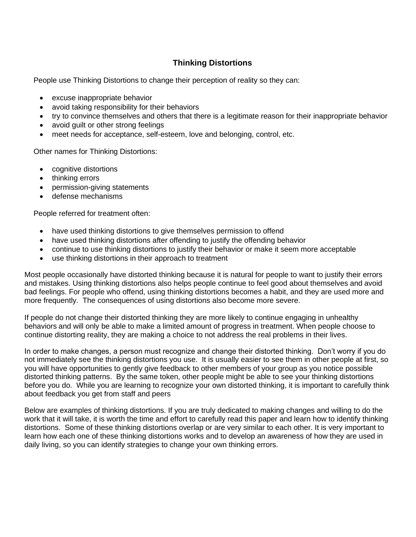# **Thinking Distortions**

People use Thinking Distortions to change their perception of reality so they can:

- excuse inappropriate behavior
- avoid taking responsibility for their behaviors
- try to convince themselves and others that there is a legitimate reason for their inappropriate behavior
- avoid guilt or other strong feelings
- meet needs for acceptance, self-esteem, love and belonging, control, etc.

Other names for Thinking Distortions:

- cognitive distortions
- thinking errors
- permission-giving statements
- defense mechanisms

People referred for treatment often:

- have used thinking distortions to give themselves permission to offend
- have used thinking distortions after offending to justify the offending behavior
- continue to use thinking distortions to justify their behavior or make it seem more acceptable
- use thinking distortions in their approach to treatment

Most people occasionally have distorted thinking because it is natural for people to want to justify their errors and mistakes. Using thinking distortions also helps people continue to feel good about themselves and avoid bad feelings. For people who offend, using thinking distortions becomes a habit, and they are used more and more frequently. The consequences of using distortions also become more severe.

If people do not change their distorted thinking they are more likely to continue engaging in unhealthy behaviors and will only be able to make a limited amount of progress in treatment. When people choose to continue distorting reality, they are making a choice to not address the real problems in their lives.

In order to make changes, a person must recognize and change their distorted thinking. Don't worry if you do not immediately see the thinking distortions you use. It is usually easier to see them in other people at first, so you will have opportunities to gently give feedback to other members of your group as you notice possible distorted thinking patterns. By the same token, other people might be able to see your thinking distortions before you do. While you are learning to recognize your own distorted thinking, it is important to carefully think about feedback you get from staff and peers

Below are examples of thinking distortions. If you are truly dedicated to making changes and willing to do the work that it will take, it is worth the time and effort to carefully read this paper and learn how to identify thinking distortions. Some of these thinking distortions overlap or are very similar to each other. It is very important to learn how each one of these thinking distortions works and to develop an awareness of how they are used in daily living, so you can identify strategies to change your own thinking errors.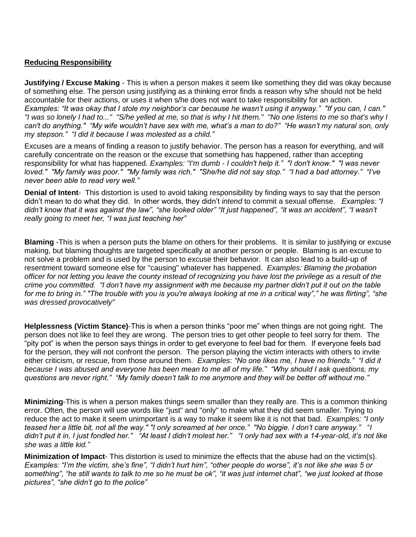### **Reducing Responsibility**

**Justifying / Excuse Making** - This is when a person makes it seem like something they did was okay because of something else. The person using justifying as a thinking error finds a reason why s/he should not be held accountable for their actions, or uses it when s/he does not want to take responsibility for an action. *Examples: "It was okay that I stole my neighbor's car because he wasn't using it anyway." "If you can, I can." "I was so lonely I had to..." "S/he yelled at me, so that is why I hit them." "No one listens to me so that's why I can't do anything." "My wife wouldn't have sex with me, what's a man to do?" "He wasn't my natural son, only my stepson." "I did it because I was molested as a child."* 

Excuses are a means of finding a reason to justify behavior. The person has a reason for everything, and will carefully concentrate on the reason or the excuse that something has happened, rather than accepting responsibility for what has happened. *Examples: "I'm dumb - I couldn't help it." "I don't know." "I was never loved." "My family was poor." "My family was rich." "She/he did not say stop." "I had a bad attorney." "I've never been able to read very well."*

**Denial of Intent**- This distortion is used to avoid taking responsibility by finding ways to say that the person didn't mean to do what they did. In other words, they didn't *intend* to commit a sexual offense. *Examples: "I didn't know that it was against the law", "she looked older" "It just happened", "it was an accident", "I wasn't really going to meet her, "I was just teaching her"*

**Blaming** -This is when a person puts the blame on others for their problems. It is similar to justifying or excuse making, but blaming thoughts are targeted specifically at another person or people. Blaming is an excuse to not solve a problem and is used by the person to excuse their behavior. It can also lead to a build-up of resentment toward someone else for "causing" whatever has happened. *Examples: Blaming the probation officer for not letting you leave the county instead of recognizing you have lost the privilege as a result of the crime you committed. "I don't have my assignment with me because my partner didn't put it out on the table for me to bring in." "The trouble with you is you're always looking at me in a critical way"," he was flirting", "she was dressed provocatively"*

**Helplessness (Victim Stance)**-This is when a person thinks "poor me" when things are not going right. The person does not like to feel they are wrong. The person tries to get other people to feel sorry for them. The "pity pot" is when the person says things in order to get everyone to feel bad for them. If everyone feels bad for the person, they will not confront the person. The person playing the victim interacts with others to invite either criticism, or rescue, from those around them. *Examples*: *"No one likes me, I have no friends." "I did it because I was abused and everyone has been mean to me all of my life." "Why should I ask questions, my questions are never right." "My family doesn't talk to me anymore and they will be better off without me."*

**Minimizing**-This is when a person makes things seem smaller than they really are. This is a common thinking error. Often, the person will use words like "just" and "only" to make what they did seem smaller. Trying to reduce the act to make it seem unimportant is a way to make it seem like it is not that bad. *Examples: "I only teased her a little bit, not all the way." "I only screamed at her once." "No biggie. I don't care anyway."* "*I didn't put it in, I just fondled her." "At least I didn't molest her." "I only had sex with a 14-year-old, it's not like she was a little kid."* 

**Minimization of Impact**- This distortion is used to minimize the effects that the abuse had on the victim(s). *Examples: "I'm the victim, she's fine", "I didn't hurt him", "other people do worse", it's not like she was 5 or something", "he still wants to talk to me so he must be ok", "it was just internet chat", "we just looked at those pictures", "she didn't go to the police"*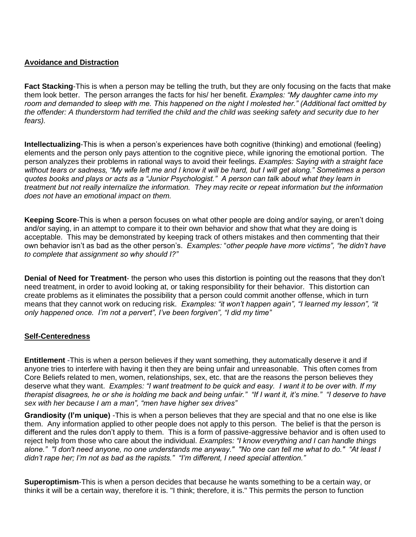### **Avoidance and Distraction**

**Fact Stacking**-This is when a person may be telling the truth, but they are only focusing on the facts that make them look better. The person arranges the facts for his/ her benefit. *Examples: "My daughter came into my room and demanded to sleep with me. This happened on the night I molested her." (Additional fact omitted by the offender: A thunderstorm had terrified the child and the child was seeking safety and security due to her fears).*

**Intellectualizing**-This is when a person's experiences have both cognitive (thinking) and emotional (feeling) elements and the person only pays attention to the cognitive piece, while ignoring the emotional portion. The person analyzes their problems in rational ways to avoid their feelings. *Examples: Saying with a straight face without tears or sadness, "My wife left me and I know it will be hard, but I will get along." Sometimes a person quotes books and plays or acts as a "Junior Psychologist." A person can talk about what they learn in treatment but not really internalize the information. They may recite or repeat information but the information does not have an emotional impact on them.* 

**Keeping Score**-This is when a person focuses on what other people are doing and/or saying, or aren't doing and/or saying, in an attempt to compare it to their own behavior and show that what they are doing is acceptable. This may be demonstrated by keeping track of others mistakes and then commenting that their own behavior isn't as bad as the other person's. *Examples:* "*other people have more victims", "he didn't have to complete that assignment so why should I?"* 

**Denial of Need for Treatment**- the person who uses this distortion is pointing out the reasons that they don't need treatment, in order to avoid looking at, or taking responsibility for their behavior. This distortion can create problems as it eliminates the possibility that a person could commit another offense, which in turn means that they cannot work on reducing risk. *Examples: "it won't happen again", "I learned my lesson", "it only happened once. I'm not a pervert", I've been forgiven", "I did my time"*

#### **Self-Centeredness**

**Entitlement** -This is when a person believes if they want something, they automatically deserve it and if anyone tries to interfere with having it then they are being unfair and unreasonable. This often comes from Core Beliefs related to men, women, relationships, sex, etc. that are the reasons the person believes they deserve what they want. *Examples: "I want treatment to be quick and easy. I want it to be over with. If my therapist disagrees, he or she is holding me back and being unfair." "If I want it, it's mine." "I deserve to have sex with her because I am a man", "men have higher sex drives"* 

**Grandiosity (I'm unique)** -This is when a person believes that they are special and that no one else is like them. Any information applied to other people does not apply to this person. The belief is that the person is different and the rules don't apply to them. This is a form of passive-aggressive behavior and is often used to reject help from those who care about the individual. *Examples: "I know everything and I can handle things alone." "I don't need anyone, no one understands me anyway." "No one can tell me what to do." "At least I didn't rape her; I'm not as bad as the rapists." "I'm different, I need special attention."* 

**Superoptimism**-This is when a person decides that because he wants something to be a certain way, or thinks it will be a certain way, therefore it is. "I think; therefore, it is." This permits the person to function